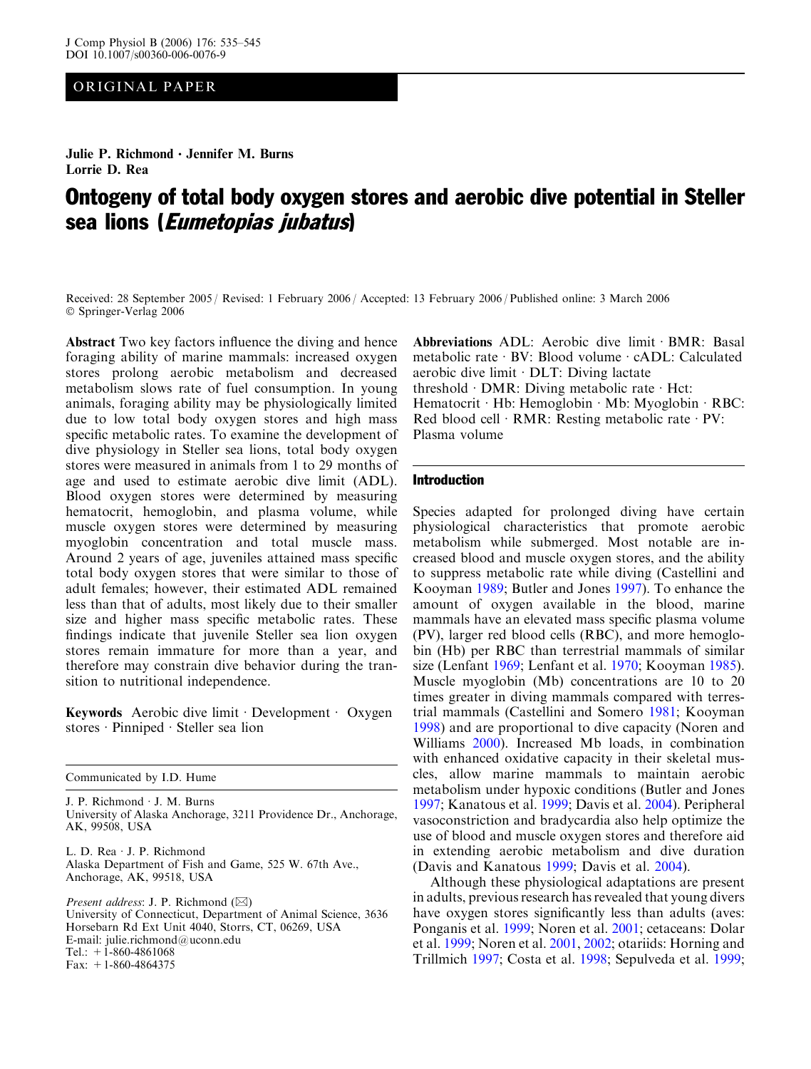## ORIGINAL PAPER

Julie P. Richmond · Jennifer M. Burns Lorrie D. Rea

# Ontogeny of total body oxygen stores and aerobic dive potential in Steller sea lions (Eumetopias jubatus)

Received: 28 September 2005 / Revised: 1 February 2006 / Accepted: 13 February 2006 / Published online: 3 March 2006 Springer-Verlag 2006

Abstract Two key factors influence the diving and hence foraging ability of marine mammals: increased oxygen stores prolong aerobic metabolism and decreased metabolism slows rate of fuel consumption. In young animals, foraging ability may be physiologically limited due to low total body oxygen stores and high mass specific metabolic rates. To examine the development of dive physiology in Steller sea lions, total body oxygen stores were measured in animals from 1 to 29 months of age and used to estimate aerobic dive limit (ADL). Blood oxygen stores were determined by measuring hematocrit, hemoglobin, and plasma volume, while muscle oxygen stores were determined by measuring myoglobin concentration and total muscle mass. Around 2 years of age, juveniles attained mass specific total body oxygen stores that were similar to those of adult females; however, their estimated ADL remained less than that of adults, most likely due to their smaller size and higher mass specific metabolic rates. These findings indicate that juvenile Steller sea lion oxygen stores remain immature for more than a year, and therefore may constrain dive behavior during the transition to nutritional independence.

Keywords Aerobic dive limit  $\cdot$  Development  $\cdot$  Oxygen stores · Pinniped · Steller sea lion

Communicated by I.D. Hume

J. P. Richmond · J. M. Burns University of Alaska Anchorage, 3211 Providence Dr., Anchorage, AK, 99508, USA

L. D. Rea · J. P. Richmond Alaska Department of Fish and Game, 525 W. 67th Ave., Anchorage, AK, 99518, USA

Present address: J. P. Richmond  $(\boxtimes)$ University of Connecticut, Department of Animal Science, 3636 Horsebarn Rd Ext Unit 4040, Storrs, CT, 06269, USA E-mail: julie.richmond@uconn.edu Tel.:  $+1-860-4861068$ Fax: +1-860-4864375

Abbreviations ADL: Aerobic dive  $limit \cdot BMR$ : Basal metabolic rate · BV: Blood volume · cADL: Calculated aerobic dive limit  $\cdot$  DLT: Diving lactate threshold  $\cdot$  DMR: Diving metabolic rate  $\cdot$  Hct: Hematocrit  $\cdot$  Hb: Hemoglobin  $\cdot$  Mb: Myoglobin  $\cdot$  RBC: Red blood cell  $\cdot$  RMR: Resting metabolic rate  $\cdot$  PV: Plasma volume

#### Introduction

Species adapted for prolonged diving have certain physiological characteristics that promote aerobic metabolism while submerged. Most notable are increased blood and muscle oxygen stores, and the ability to suppress metabolic rate while diving (Castellini and Kooyman [1989](#page-8-0); Butler and Jones [1997\)](#page-8-0). To enhance the amount of oxygen available in the blood, marine mammals have an elevated mass specific plasma volume (PV), larger red blood cells (RBC), and more hemoglobin (Hb) per RBC than terrestrial mammals of similar size (Lenfant [1969](#page-9-0); Lenfant et al. [1970;](#page-9-0) Kooyman [1985\)](#page-9-0). Muscle myoglobin (Mb) concentrations are 10 to 20 times greater in diving mammals compared with terrestrial mammals (Castellini and Somero [1981;](#page-8-0) Kooyman [1998\)](#page-9-0) and are proportional to dive capacity (Noren and Williams [2000](#page-10-0)). Increased Mb loads, in combination with enhanced oxidative capacity in their skeletal muscles, allow marine mammals to maintain aerobic metabolism under hypoxic conditions (Butler and Jones [1997;](#page-8-0) Kanatous et al. [1999](#page-9-0); Davis et al. [2004\)](#page-9-0). Peripheral vasoconstriction and bradycardia also help optimize the use of blood and muscle oxygen stores and therefore aid in extending aerobic metabolism and dive duration (Davis and Kanatous [1999](#page-9-0); Davis et al. [2004](#page-9-0)).

Although these physiological adaptations are present in adults, previous research has revealed that young divers have oxygen stores significantly less than adults (aves: Ponganis et al. [1999;](#page-10-0) Noren et al. [2001;](#page-10-0) cetaceans: Dolar et al. [1999](#page-9-0); Noren et al. [2001,](#page-10-0) [2002](#page-9-0); otariids: Horning and Trillmich [1997;](#page-9-0) Costa et al. [1998](#page-9-0); Sepulveda et al. [1999](#page-10-0);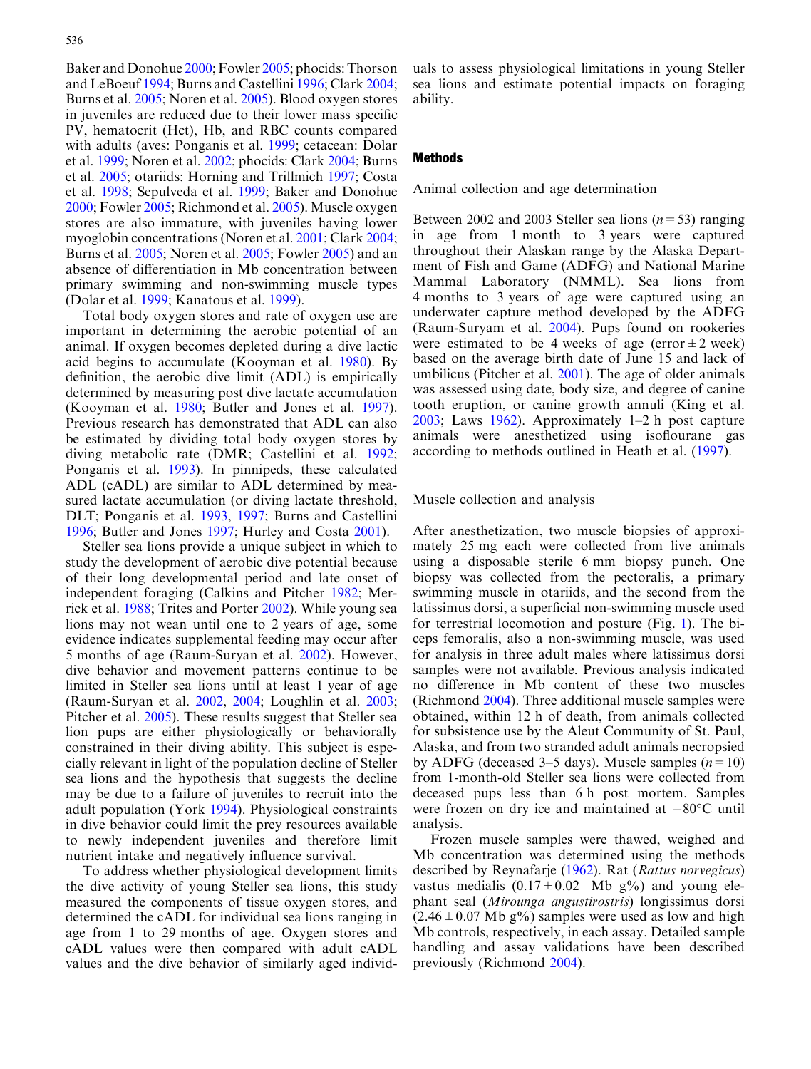Baker and Donohue [2000;](#page-8-0) Fowler [2005;](#page-9-0) phocids: Thorson and LeBoeuf [1994](#page-10-0); Burns and Castellini [1996](#page-8-0); Clark [2004](#page-9-0); Burns et al. [2005](#page-8-0); Noren et al. [2005](#page-9-0)). Blood oxygen stores in juveniles are reduced due to their lower mass specific PV, hematocrit (Hct), Hb, and RBC counts compared with adults (aves: Ponganis et al. [1999](#page-10-0); cetacean: Dolar et al. [1999;](#page-9-0) Noren et al. [2002](#page-9-0); phocids: Clark [2004](#page-9-0); Burns et al. [2005](#page-8-0); otariids: Horning and Trillmich [1997;](#page-9-0) Costa et al. [1998](#page-9-0); Sepulveda et al. [1999](#page-10-0); Baker and Donohue [2000](#page-8-0); Fowler [2005;](#page-9-0) Richmond et al. [2005](#page-10-0)). Muscle oxygen stores are also immature, with juveniles having lower myoglobin concentrations (Noren et al. [2001;](#page-10-0) Clark [2004](#page-9-0); Burns et al. [2005;](#page-8-0) Noren et al. [2005](#page-9-0); Fowler [2005\)](#page-9-0) and an absence of differentiation in Mb concentration between primary swimming and non-swimming muscle types (Dolar et al. [1999;](#page-9-0) Kanatous et al. [1999\)](#page-9-0).

Total body oxygen stores and rate of oxygen use are important in determining the aerobic potential of an animal. If oxygen becomes depleted during a dive lactic acid begins to accumulate (Kooyman et al. [1980](#page-9-0)). By definition, the aerobic dive limit (ADL) is empirically determined by measuring post dive lactate accumulation (Kooyman et al. [1980](#page-9-0); Butler and Jones et al. [1997\)](#page-8-0). Previous research has demonstrated that ADL can also be estimated by dividing total body oxygen stores by diving metabolic rate (DMR; Castellini et al. [1992](#page-8-0); Ponganis et al. [1993\)](#page-10-0). In pinnipeds, these calculated ADL (cADL) are similar to ADL determined by measured lactate accumulation (or diving lactate threshold, DLT; Ponganis et al. [1993](#page-10-0), [1997](#page-10-0); Burns and Castellini [1996](#page-8-0); Butler and Jones [1997](#page-8-0); Hurley and Costa [2001](#page-9-0)).

Steller sea lions provide a unique subject in which to study the development of aerobic dive potential because of their long developmental period and late onset of independent foraging (Calkins and Pitcher [1982](#page-8-0); Merrick et al. [1988;](#page-9-0) Trites and Porter [2002\)](#page-10-0). While young sea lions may not wean until one to 2 years of age, some evidence indicates supplemental feeding may occur after 5 months of age (Raum-Suryan et al. [2002\)](#page-10-0). However, dive behavior and movement patterns continue to be limited in Steller sea lions until at least 1 year of age (Raum-Suryan et al. [2002,](#page-10-0) [2004](#page-10-0); Loughlin et al. [2003](#page-9-0); Pitcher et al. [2005](#page-10-0)). These results suggest that Steller sea lion pups are either physiologically or behaviorally constrained in their diving ability. This subject is especially relevant in light of the population decline of Steller sea lions and the hypothesis that suggests the decline may be due to a failure of juveniles to recruit into the adult population (York [1994](#page-10-0)). Physiological constraints in dive behavior could limit the prey resources available to newly independent juveniles and therefore limit nutrient intake and negatively influence survival.

To address whether physiological development limits the dive activity of young Steller sea lions, this study measured the components of tissue oxygen stores, and determined the cADL for individual sea lions ranging in age from 1 to 29 months of age. Oxygen stores and cADL values were then compared with adult cADL values and the dive behavior of similarly aged individ-

uals to assess physiological limitations in young Steller sea lions and estimate potential impacts on foraging ability.

#### Methods

Animal collection and age determination

Between 2002 and 2003 Steller sea lions ( $n=53$ ) ranging in age from 1 month to 3 years were captured throughout their Alaskan range by the Alaska Department of Fish and Game (ADFG) and National Marine Mammal Laboratory (NMML). Sea lions from 4 months to 3 years of age were captured using an underwater capture method developed by the ADFG (Raum-Suryam et al. [2004](#page-10-0)). Pups found on rookeries were estimated to be 4 weeks of age (error  $\pm 2$  week) based on the average birth date of June 15 and lack of umbilicus (Pitcher et al. [2001\)](#page-10-0). The age of older animals was assessed using date, body size, and degree of canine tooth eruption, or canine growth annuli (King et al. [2003;](#page-9-0) Laws [1962\)](#page-9-0). Approximately 1–2 h post capture animals were anesthetized using isoflourane gas according to methods outlined in Heath et al. [\(1997\)](#page-9-0).

### Muscle collection and analysis

After anesthetization, two muscle biopsies of approximately 25 mg each were collected from live animals using a disposable sterile 6 mm biopsy punch. One biopsy was collected from the pectoralis, a primary swimming muscle in otariids, and the second from the latissimus dorsi, a superficial non-swimming muscle used for terrestrial locomotion and posture (Fig. [1\)](#page-2-0). The biceps femoralis, also a non-swimming muscle, was used for analysis in three adult males where latissimus dorsi samples were not available. Previous analysis indicated no difference in Mb content of these two muscles (Richmond [2004](#page-10-0)). Three additional muscle samples were obtained, within 12 h of death, from animals collected for subsistence use by the Aleut Community of St. Paul, Alaska, and from two stranded adult animals necropsied by ADFG (deceased 3–5 days). Muscle samples  $(n=10)$ from 1-month-old Steller sea lions were collected from deceased pups less than 6 h post mortem. Samples were frozen on dry ice and maintained at  $-80^{\circ}$ C until analysis.

Frozen muscle samples were thawed, weighed and Mb concentration was determined using the methods described by Reynafarje [\(1962\)](#page-10-0). Rat (Rattus norvegicus) vastus medialis  $(0.17 \pm 0.02$  Mb g%) and young elephant seal (Mirounga angustirostris) longissimus dorsi  $(2.46 \pm 0.07 \text{ Mb g\%})$  samples were used as low and high Mb controls, respectively, in each assay. Detailed sample handling and assay validations have been described previously (Richmond [2004](#page-10-0)).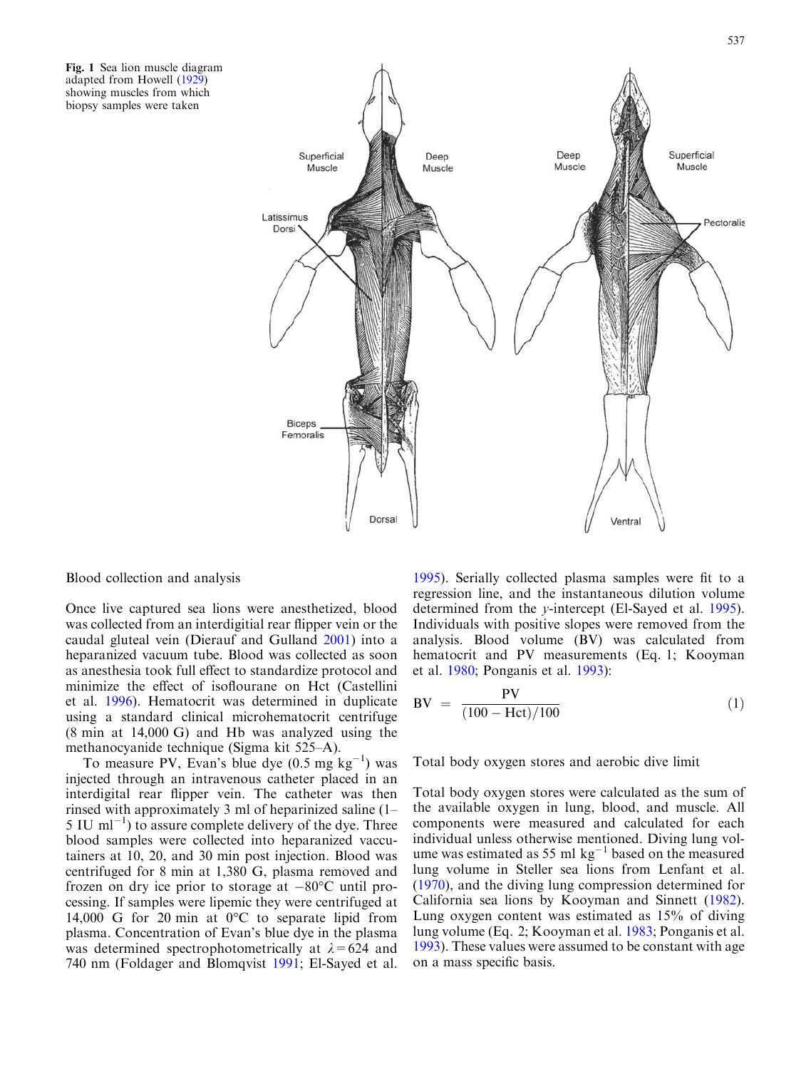<span id="page-2-0"></span>Fig. 1 Sea lion muscle diagram adapted from Howell ([1929\)](#page-9-0) showing muscles from which biopsy samples were taken



Blood collection and analysis

Once live captured sea lions were anesthetized, blood was collected from an interdigitial rear flipper vein or the caudal gluteal vein (Dierauf and Gulland [2001\)](#page-9-0) into a heparanized vacuum tube. Blood was collected as soon as anesthesia took full effect to standardize protocol and minimize the effect of isoflourane on Hct (Castellini et al. [1996](#page-8-0)). Hematocrit was determined in duplicate using a standard clinical microhematocrit centrifuge (8 min at 14,000 G) and Hb was analyzed using the methanocyanide technique (Sigma kit 525–A).

To measure PV, Evan's blue dye  $(0.5 \text{ mg kg}^{-1})$  was injected through an intravenous catheter placed in an interdigital rear flipper vein. The catheter was then rinsed with approximately 3 ml of heparinized saline (1–  $5 \text{ IU } \text{ml}^{-1}$ ) to assure complete delivery of the dye. Three blood samples were collected into heparanized vaccutainers at 10, 20, and 30 min post injection. Blood was centrifuged for 8 min at 1,380 G, plasma removed and frozen on dry ice prior to storage at  $-80^{\circ}$ C until processing. If samples were lipemic they were centrifuged at 14,000 G for 20 min at  $0^{\circ}$ C to separate lipid from plasma. Concentration of Evan's blue dye in the plasma was determined spectrophotometrically at  $\lambda$ =624 and 740 nm (Foldager and Blomqvist [1991](#page-9-0); El-Sayed et al.

[1995\)](#page-9-0). Serially collected plasma samples were fit to a regression line, and the instantaneous dilution volume determined from the y-intercept (El-Sayed et al. [1995\)](#page-9-0). Individuals with positive slopes were removed from the analysis. Blood volume (BV) was calculated from hematocrit and PV measurements (Eq. 1; Kooyman et al. [1980;](#page-9-0) Ponganis et al. [1993](#page-10-0)):

$$
BV = \frac{PV}{(100 - Hct)/100}
$$
 (1)

Total body oxygen stores and aerobic dive limit

Total body oxygen stores were calculated as the sum of the available oxygen in lung, blood, and muscle. All components were measured and calculated for each individual unless otherwise mentioned. Diving lung volume was estimated as 55 ml  $kg^{-1}$  based on the measured lung volume in Steller sea lions from Lenfant et al. ([1970](#page-9-0)), and the diving lung compression determined for California sea lions by Kooyman and Sinnett ([1982\)](#page-9-0). Lung oxygen content was estimated as 15% of diving lung volume (Eq. 2; Kooyman et al. [1983;](#page-9-0) Ponganis et al. [1993\)](#page-10-0). These values were assumed to be constant with age on a mass specific basis.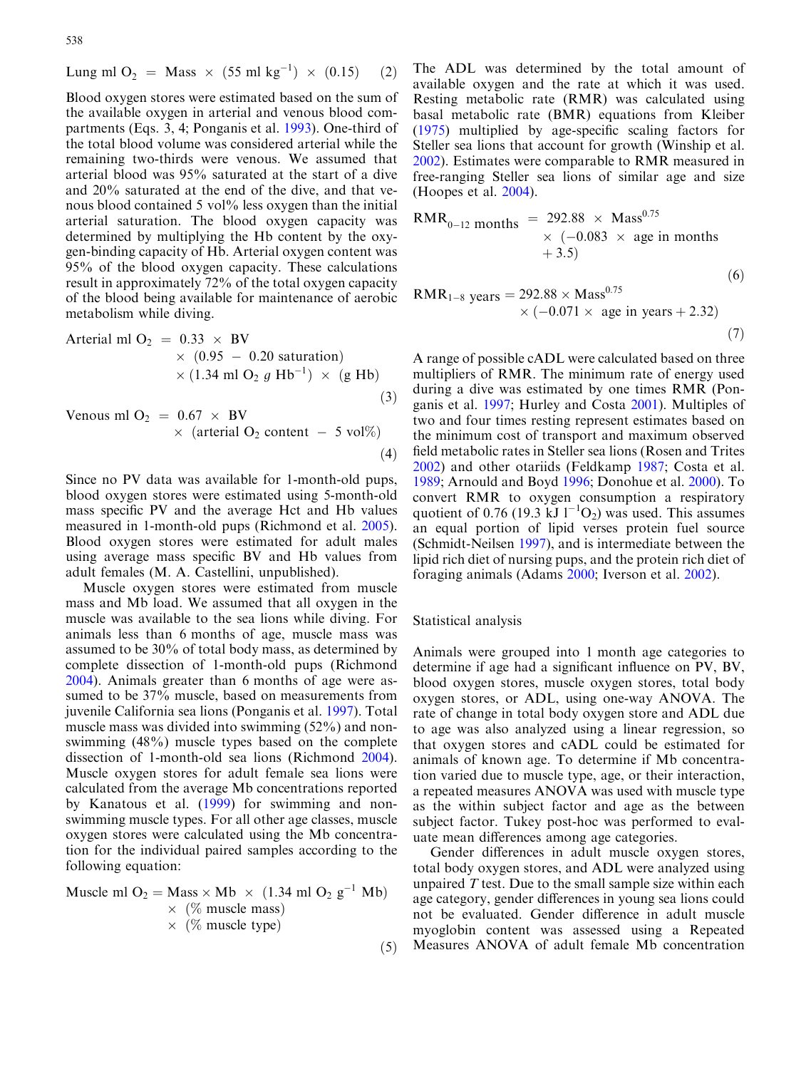Lung ml 
$$
O_2
$$
 = Mass × (55 ml kg<sup>-1</sup>) × (0.15) (2)

Blood oxygen stores were estimated based on the sum of the available oxygen in arterial and venous blood compartments (Eqs. 3, 4; Ponganis et al. [1993\)](#page-10-0). One-third of the total blood volume was considered arterial while the remaining two-thirds were venous. We assumed that arterial blood was 95% saturated at the start of a dive and 20% saturated at the end of the dive, and that venous blood contained 5 vol<sup>%</sup> less oxygen than the initial arterial saturation. The blood oxygen capacity was determined by multiplying the Hb content by the oxygen-binding capacity of Hb. Arterial oxygen content was 95% of the blood oxygen capacity. These calculations result in approximately 72% of the total oxygen capacity of the blood being available for maintenance of aerobic metabolism while diving.

Arterial ml 
$$
O_2 = 0.33 \times BV
$$

\n $\times$  (0.95 - 0.20 saturation)

\n $\times$  (1.34 ml  $O_2$  *g*  $Hb^{-1}$ )  $\times$  (g Hb)

\nVenous ml  $O_2 = 0.67 \times BV$ 

\n $\times$  (arterial  $O_2$  content  $-$  5 vol%)

\n(4)

Since no PV data was available for 1-month-old pups, blood oxygen stores were estimated using 5-month-old mass specific PV and the average Hct and Hb values measured in 1-month-old pups (Richmond et al. [2005\)](#page-10-0). Blood oxygen stores were estimated for adult males using average mass specific BV and Hb values from adult females (M. A. Castellini, unpublished).

Muscle oxygen stores were estimated from muscle mass and Mb load. We assumed that all oxygen in the muscle was available to the sea lions while diving. For animals less than 6 months of age, muscle mass was assumed to be 30% of total body mass, as determined by complete dissection of 1-month-old pups (Richmond [2004](#page-10-0)). Animals greater than 6 months of age were assumed to be 37% muscle, based on measurements from juvenile California sea lions (Ponganis et al. [1997\)](#page-10-0). Total muscle mass was divided into swimming (52%) and nonswimming (48%) muscle types based on the complete dissection of 1-month-old sea lions (Richmond [2004\)](#page-10-0). Muscle oxygen stores for adult female sea lions were calculated from the average Mb concentrations reported by Kanatous et al. [\(1999](#page-9-0)) for swimming and nonswimming muscle types. For all other age classes, muscle oxygen stores were calculated using the Mb concentration for the individual paired samples according to the following equation:

Musicle ml 
$$
O_2 = \text{Mass} \times \text{Mb} \times (1.34 \text{ ml } O_2 \text{ g}^{-1} \text{ Mb})
$$

\n $\times$  (%) muscle mass

\n $\times$  (%) muscle type

The ADL was determined by the total amount of available oxygen and the rate at which it was used. Resting metabolic rate (RMR) was calculated using basal metabolic rate (BMR) equations from Kleiber ([1975](#page-9-0)) multiplied by age-specific scaling factors for Steller sea lions that account for growth (Winship et al. [2002\)](#page-10-0). Estimates were comparable to RMR measured in free-ranging Steller sea lions of similar age and size (Hoopes et al. [2004](#page-9-0)).

RMR0<sup>12</sup> months ¼ 292:88 - Mass<sup>0</sup>:<sup>75</sup> ð0:083 age in months þ 3:5Þ ð6Þ

RMR<sub>1–8</sub> years = 
$$
292.88 \times \text{Mass}^{0.75}
$$
  
×  $(-0.071 \times \text{age in years} + 2.32)$  (7)

A range of possible cADL were calculated based on three multipliers of RMR. The minimum rate of energy used during a dive was estimated by one times RMR (Ponganis et al. [1997;](#page-10-0) Hurley and Costa [2001\)](#page-9-0). Multiples of two and four times resting represent estimates based on the minimum cost of transport and maximum observed field metabolic rates in Steller sea lions (Rosen and Trites [2002\)](#page-10-0) and other otariids (Feldkamp [1987](#page-9-0); Costa et al. [1989;](#page-9-0) Arnould and Boyd [1996](#page-8-0); Donohue et al. [2000\)](#page-9-0). To convert RMR to oxygen consumption a respiratory quotient of 0.76 (19.3 kJ  $1^{-1}O_2$ ) was used. This assumes an equal portion of lipid verses protein fuel source (Schmidt-Neilsen [1997](#page-10-0)), and is intermediate between the lipid rich diet of nursing pups, and the protein rich diet of foraging animals (Adams [2000;](#page-8-0) Iverson et al. [2002\)](#page-9-0).

Statistical analysis

 $(5)$ 

Animals were grouped into 1 month age categories to determine if age had a significant influence on PV, BV, blood oxygen stores, muscle oxygen stores, total body oxygen stores, or ADL, using one-way ANOVA. The rate of change in total body oxygen store and ADL due to age was also analyzed using a linear regression, so that oxygen stores and cADL could be estimated for animals of known age. To determine if Mb concentration varied due to muscle type, age, or their interaction, a repeated measures ANOVA was used with muscle type as the within subject factor and age as the between subject factor. Tukey post-hoc was performed to evaluate mean differences among age categories.

Gender differences in adult muscle oxygen stores, total body oxygen stores, and ADL were analyzed using unpaired  $T$  test. Due to the small sample size within each age category, gender differences in young sea lions could not be evaluated. Gender difference in adult muscle myoglobin content was assessed using a Repeated Measures ANOVA of adult female Mb concentration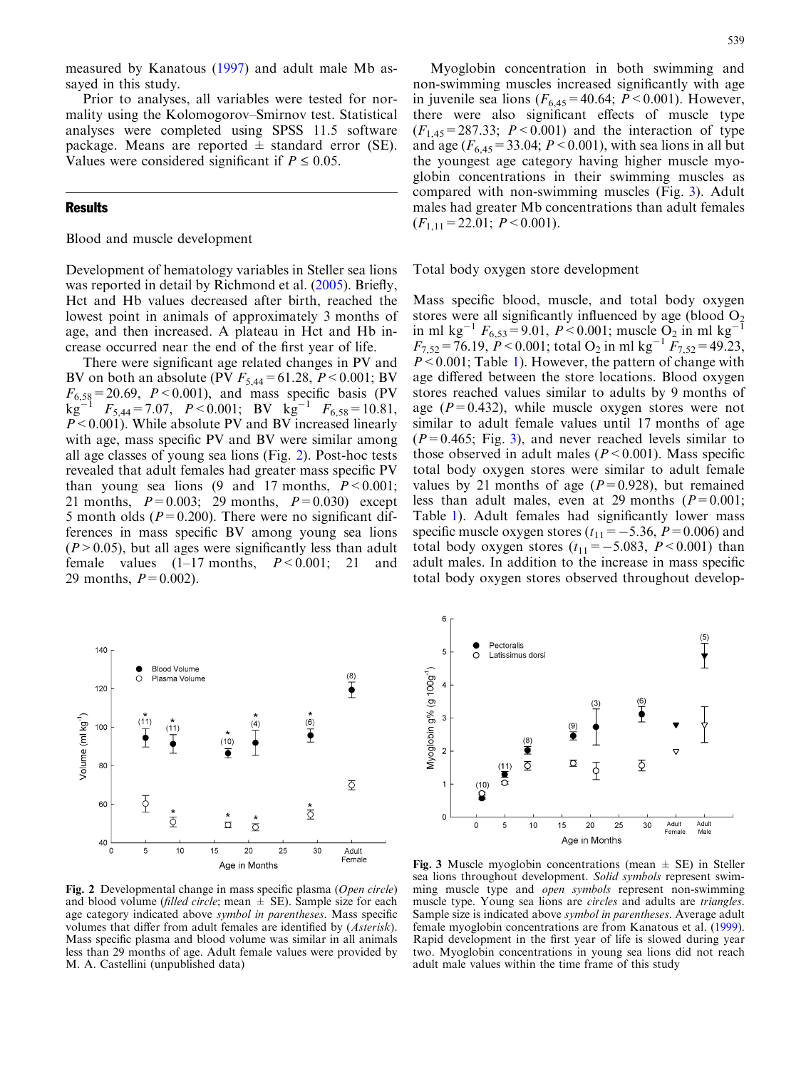measured by Kanatous [\(1997\)](#page-9-0) and adult male Mb assayed in this study.

Prior to analyses, all variables were tested for normality using the Kolomogorov–Smirnov test. Statistical analyses were completed using SPSS 11.5 software package. Means are reported  $\pm$  standard error (SE). Values were considered significant if  $P \leq 0.05$ .

#### **Results**

Blood and muscle development

Development of hematology variables in Steller sea lions was reported in detail by Richmond et al. ([2005](#page-10-0)). Briefly, Hct and Hb values decreased after birth, reached the lowest point in animals of approximately 3 months of age, and then increased. A plateau in Hct and Hb increase occurred near the end of the first year of life.

There were significant age related changes in PV and BV on both an absolute (PV  $F_{5,44} = 61.28, P < 0.001$ ; BV  $F_{6,58}$ =20.69, P < 0.001), and mass specific basis (PV  $kg^{-1}$   $F_{5,44}=7.07$ ,  $P<0.001$ ; BV  $kg^{-1}$   $F_{6,58}=10.81$ ,  $P \leq 0.001$ ). While absolute PV and BV increased linearly with age, mass specific PV and BV were similar among all age classes of young sea lions (Fig. 2). Post-hoc tests revealed that adult females had greater mass specific PV than young sea lions  $(9 \text{ and } 17 \text{ months}, P \leq 0.001;$ 21 months,  $P=0.003$ ; 29 months,  $P=0.030$ ) except 5 month olds ( $P = 0.200$ ). There were no significant differences in mass specific BV among young sea lions  $(P>0.05)$ , but all ages were significantly less than adult female values  $(1-17 \text{ months}, P < 0.001; 21 \text{ and}$ 29 months,  $P = 0.002$ ).

Myoglobin concentration in both swimming and non-swimming muscles increased significantly with age in juvenile sea lions ( $F_{6,45} = 40.64$ ;  $P < 0.001$ ). However, there were also significant effects of muscle type  $(F<sub>1.45</sub>=287.33; P<0.001)$  and the interaction of type and age ( $F_{6,45}$  = 33.04;  $P$  < 0.001), with sea lions in all but the youngest age category having higher muscle myoglobin concentrations in their swimming muscles as compared with non-swimming muscles (Fig. 3). Adult males had greater Mb concentrations than adult females  $(F_{1,11}=22.01; P<0.001).$ 

Total body oxygen store development

Mass specific blood, muscle, and total body oxygen stores were all significantly influenced by age (blood  $O_2$ ) in ml kg<sup>-1</sup>  $F_{6,53}$ =9.01, *P* < 0.001; muscle O<sub>2</sub> in ml kg<sup>-1</sup>  $F_{7,52}$  = 76.19, P < 0.001; total O<sub>2</sub> in ml kg<sup>-1</sup>  $F_{7,52}$  = 49.23,  $P \le 0.001$  $P \le 0.001$ ; Table 1). However, the pattern of change with age differed between the store locations. Blood oxygen stores reached values similar to adults by 9 months of age ( $P=0.432$ ), while muscle oxygen stores were not similar to adult female values until 17 months of age  $(P=0.465;$  Fig. 3), and never reached levels similar to those observed in adult males ( $P < 0.001$ ). Mass specific total body oxygen stores were similar to adult female values by 21 months of age ( $P=0.928$ ), but remained less than adult males, even at 29 months  $(P=0.001;$ Table [1](#page-5-0)). Adult females had significantly lower mass specific muscle oxygen stores  $(t_{11}=-5.36, P=0.006)$  and total body oxygen stores  $(t_{11} = -5.083, P < 0.001)$  than adult males. In addition to the increase in mass specific total body oxygen stores observed throughout develop-



Fig. 2 Developmental change in mass specific plasma (Open circle) and blood volume (filled circle; mean  $\pm$  SE). Sample size for each age category indicated above symbol in parentheses. Mass specific volumes that differ from adult females are identified by (Asterisk). Mass specific plasma and blood volume was similar in all animals less than 29 months of age. Adult female values were provided by M. A. Castellini (unpublished data)



Fig. 3 Muscle myoglobin concentrations (mean  $\pm$  SE) in Steller sea lions throughout development. Solid symbols represent swimming muscle type and *open symbols* represent non-swimming muscle type. Young sea lions are circles and adults are triangles. Sample size is indicated above symbol in parentheses. Average adult female myoglobin concentrations are from Kanatous et al. ([1999\)](#page-9-0). Rapid development in the first year of life is slowed during year two. Myoglobin concentrations in young sea lions did not reach adult male values within the time frame of this study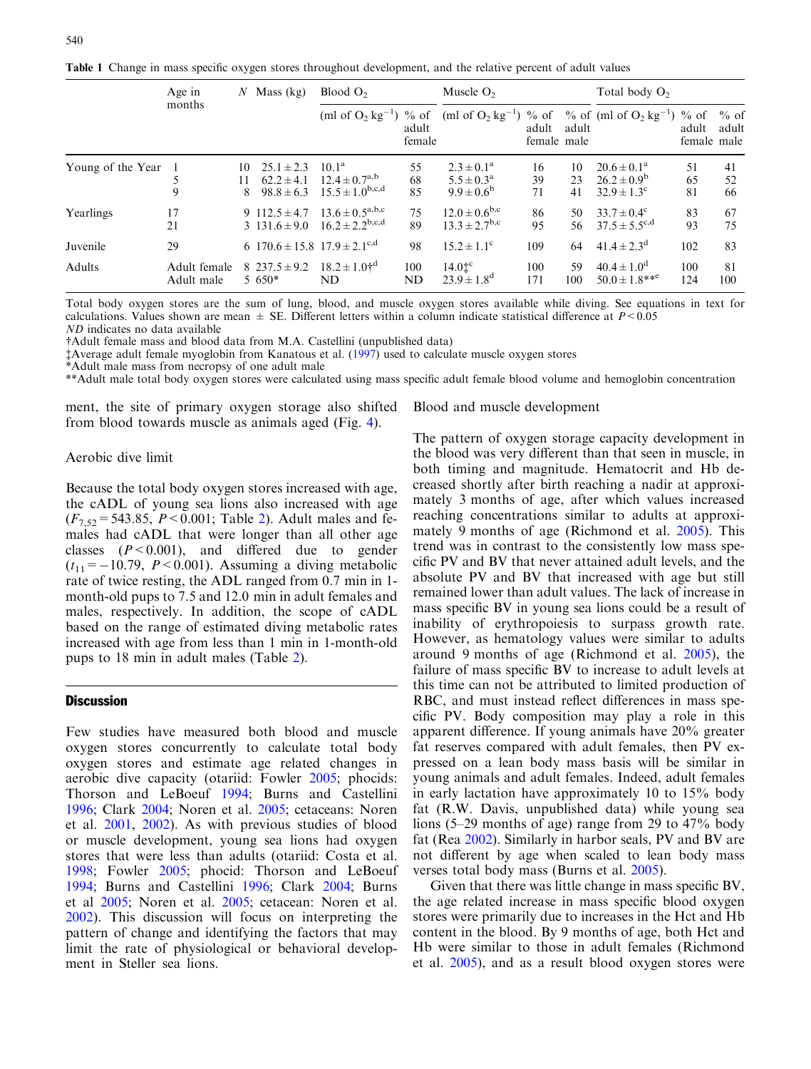<span id="page-5-0"></span>

|  |  |  | Table 1 Change in mass specific oxygen stores throughout development, and the relative percent of adult values |  |  |  |  |  |  |  |
|--|--|--|----------------------------------------------------------------------------------------------------------------|--|--|--|--|--|--|--|
|--|--|--|----------------------------------------------------------------------------------------------------------------|--|--|--|--|--|--|--|

|                   | Age in<br>months           |          | $N$ Mass (kg)                                      | Blood $O2$                                                       |                 | Muscle $O2$                                                                    |                      |                | Total body $O2$                                                         |                      |                 |
|-------------------|----------------------------|----------|----------------------------------------------------|------------------------------------------------------------------|-----------------|--------------------------------------------------------------------------------|----------------------|----------------|-------------------------------------------------------------------------|----------------------|-----------------|
|                   |                            |          |                                                    | (ml of $O_2$ kg <sup>-1</sup> ) % of                             | adult<br>female | (ml of $O_2$ kg <sup>-1</sup> ) % of % of (ml of $O_2$ kg <sup>-1</sup> ) % of | adult<br>female male | adult          |                                                                         | adult<br>female male | $%$ of<br>adult |
| Young of the Year | 9                          | 10<br>11 | $25.1 \pm 2.3$<br>$62.2 \pm 4.1$<br>$98.8 \pm 6.3$ | $10.1^{\rm a}$<br>$12.4 \pm 0.7^{a,b}$<br>$15.5 \pm 1.0^{b,c,d}$ | 55<br>68<br>85  | $2.3 \pm 0.1^a$<br>$5.5 \pm 0.3^{\rm a}$<br>$9.9 \pm 0.6^{\rm b}$              | 16<br>39<br>71       | 10<br>23<br>41 | $20.6 \pm 0.1^{\text{a}}$<br>$26.2 \pm 0.9^b$<br>$32.9 \pm 1.3^{\circ}$ | 51<br>65<br>81       | 41<br>52<br>66  |
| Yearlings         | 17<br>21                   |          | 9 112.5 $\pm$ 4.7<br>$3 \quad 131.6 \pm 9.0$       | $13.6 \pm 0.5^{a,b,c}$<br>$16.2 \pm 2.2^{b,c,d}$                 | 75<br>89        | $12.0 \pm 0.6^{\rm b,c}$<br>$13.3 \pm 2.7^{b,c}$                               | 86<br>95             | 50<br>56       | $33.7 \pm 0.4^{\circ}$<br>$37.5 \pm 5.5^{\circ,d}$                      | 83<br>93             | 67<br>75        |
| Juvenile          | 29                         |          |                                                    | 6 170.6 ± 15.8 17.9 ± 2.1 <sup>c,d</sup>                         | 98              | $15.2 \pm 1.1^{\circ}$                                                         | 109                  | 64             | $41.4 \pm 2.3$ <sup>d</sup>                                             | 102                  | 83              |
| Adults            | Adult female<br>Adult male |          | 8 237.5 $\pm$ 9.2<br>$5.650*$                      | $18.2 \pm 1.0^{4d}$<br>ND.                                       | 100<br>ND       | $14.01^{\circ}$<br>$23.9 \pm 1.8$ <sup>d</sup>                                 | 100<br>171           | 59<br>100      | $40.4 \pm 1.0^{\circ}$<br>$50.0 \pm 1.8***$ <sup>e</sup>                | 100<br>124           | 81<br>100       |

Total body oxygen stores are the sum of lung, blood, and muscle oxygen stores available while diving. See equations in text for calculations. Values shown are mean  $\pm$  SE. Different letters within a column indicate statistical difference at  $P < 0.05$ ND indicates no data available

Adult female mass and blood data from M.A. Castellini (unpublished data)

-Average adult female myoglobin from Kanatous et al. ([1997\)](#page-9-0) used to calculate muscle oxygen stores

\*Adult male mass from necropsy of one adult male

\*\*Adult male total body oxygen stores were calculated using mass specific adult female blood volume and hemoglobin concentration

ment, the site of primary oxygen storage also shifted from blood towards muscle as animals aged (Fig. [4](#page-6-0)).

#### Aerobic dive limit

Because the total body oxygen stores increased with age, the cADL of young sea lions also increased with age  $(F_{7,52} = 543.85, P < 0.001$ ; Table [2\)](#page-6-0). Adult males and females had cADL that were longer than all other age classes  $(P < 0.001)$ , and differed due to gender  $(t_{11}=-10.79, P<0.001)$ . Assuming a diving metabolic rate of twice resting, the ADL ranged from 0.7 min in 1 month-old pups to 7.5 and 12.0 min in adult females and males, respectively. In addition, the scope of cADL based on the range of estimated diving metabolic rates increased with age from less than 1 min in 1-month-old pups to 18 min in adult males (Table [2](#page-6-0)).

#### **Discussion**

Few studies have measured both blood and muscle oxygen stores concurrently to calculate total body oxygen stores and estimate age related changes in aerobic dive capacity (otariid: Fowler [2005](#page-9-0); phocids: Thorson and LeBoeuf [1994;](#page-10-0) Burns and Castellini [1996](#page-8-0); Clark [2004](#page-9-0); Noren et al. [2005;](#page-9-0) cetaceans: Noren et al. [2001,](#page-10-0) [2002\)](#page-9-0). As with previous studies of blood or muscle development, young sea lions had oxygen stores that were less than adults (otariid: Costa et al. [1998](#page-9-0); Fowler [2005](#page-9-0); phocid: Thorson and LeBoeuf [1994](#page-10-0); Burns and Castellini [1996;](#page-8-0) Clark [2004](#page-9-0); Burns et al [2005](#page-8-0); Noren et al. [2005](#page-9-0); cetacean: Noren et al. [2002](#page-9-0)). This discussion will focus on interpreting the pattern of change and identifying the factors that may limit the rate of physiological or behavioral development in Steller sea lions.

Blood and muscle development

The pattern of oxygen storage capacity development in the blood was very different than that seen in muscle, in both timing and magnitude. Hematocrit and Hb decreased shortly after birth reaching a nadir at approximately 3 months of age, after which values increased reaching concentrations similar to adults at approximately 9 months of age (Richmond et al. [2005](#page-10-0)). This trend was in contrast to the consistently low mass specific PV and BV that never attained adult levels, and the absolute PV and BV that increased with age but still remained lower than adult values. The lack of increase in mass specific BV in young sea lions could be a result of inability of erythropoiesis to surpass growth rate. However, as hematology values were similar to adults around 9 months of age (Richmond et al. [2005](#page-10-0)), the failure of mass specific BV to increase to adult levels at this time can not be attributed to limited production of RBC, and must instead reflect differences in mass specific PV. Body composition may play a role in this apparent difference. If young animals have 20% greater fat reserves compared with adult females, then PV expressed on a lean body mass basis will be similar in young animals and adult females. Indeed, adult females in early lactation have approximately 10 to 15% body fat (R.W. Davis, unpublished data) while young sea lions (5–29 months of age) range from 29 to 47% body fat (Rea [2002\)](#page-10-0). Similarly in harbor seals, PV and BV are not different by age when scaled to lean body mass verses total body mass (Burns et al. [2005\)](#page-8-0).

Given that there was little change in mass specific BV, the age related increase in mass specific blood oxygen stores were primarily due to increases in the Hct and Hb content in the blood. By 9 months of age, both Hct and Hb were similar to those in adult females (Richmond et al. [2005\)](#page-10-0), and as a result blood oxygen stores were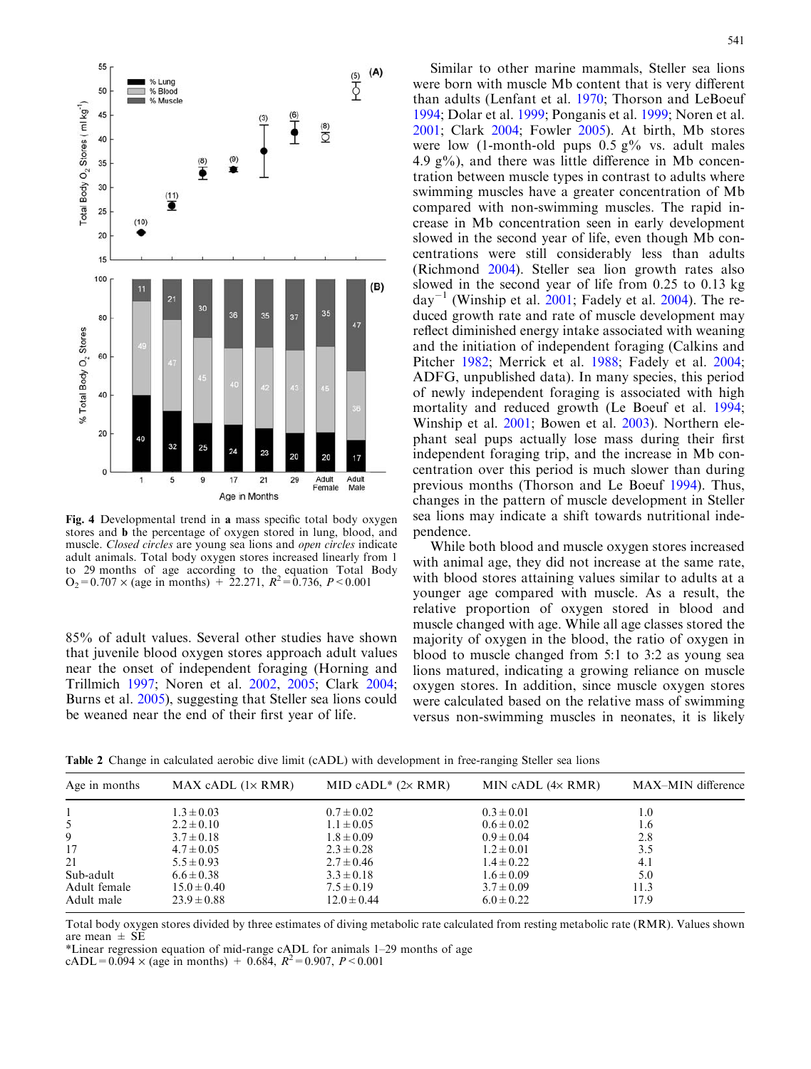<span id="page-6-0"></span>

Fig. 4 Developmental trend in a mass specific total body oxygen stores and b the percentage of oxygen stored in lung, blood, and muscle. Closed circles are young sea lions and open circles indicate adult animals. Total body oxygen stores increased linearly from 1 to 29 months of age according to the equation Total Body  $O_2 = 0.707 \times$  (age in months) + 22.271,  $R^2 = 0.736$ ,  $P < 0.001$ 

85% of adult values. Several other studies have shown that juvenile blood oxygen stores approach adult values near the onset of independent foraging (Horning and Trillmich [1997;](#page-9-0) Noren et al. [2002](#page-9-0), [2005](#page-9-0); Clark [2004](#page-9-0); Burns et al. [2005](#page-8-0)), suggesting that Steller sea lions could be weaned near the end of their first year of life.

Similar to other marine mammals, Steller sea lions were born with muscle Mb content that is very different than adults (Lenfant et al. [1970](#page-9-0); Thorson and LeBoeuf [1994;](#page-10-0) Dolar et al. [1999](#page-9-0); Ponganis et al. [1999;](#page-10-0) Noren et al. [2001;](#page-10-0) Clark [2004](#page-9-0); Fowler [2005](#page-9-0)). At birth, Mb stores were low (1-month-old pups  $0.5 \frac{\text{g}}{\text{g}}$  vs. adult males 4.9  $g\%$ ), and there was little difference in Mb concentration between muscle types in contrast to adults where swimming muscles have a greater concentration of Mb compared with non-swimming muscles. The rapid increase in Mb concentration seen in early development slowed in the second year of life, even though Mb concentrations were still considerably less than adults (Richmond [2004\)](#page-10-0). Steller sea lion growth rates also slowed in the second year of life from 0.25 to 0.13 kg day<sup>-1</sup> (Winship et al. [2001;](#page-10-0) Fadely et al. [2004\)](#page-9-0). The reduced growth rate and rate of muscle development may reflect diminished energy intake associated with weaning and the initiation of independent foraging (Calkins and Pitcher [1982;](#page-8-0) Merrick et al. [1988](#page-9-0); Fadely et al. [2004](#page-9-0); ADFG, unpublished data). In many species, this period of newly independent foraging is associated with high mortality and reduced growth (Le Boeuf et al. [1994](#page-9-0); Winship et al. [2001](#page-10-0); Bowen et al. [2003](#page-8-0)). Northern elephant seal pups actually lose mass during their first independent foraging trip, and the increase in Mb concentration over this period is much slower than during previous months (Thorson and Le Boeuf [1994](#page-10-0)). Thus, changes in the pattern of muscle development in Steller sea lions may indicate a shift towards nutritional independence.

While both blood and muscle oxygen stores increased with animal age, they did not increase at the same rate, with blood stores attaining values similar to adults at a younger age compared with muscle. As a result, the relative proportion of oxygen stored in blood and muscle changed with age. While all age classes stored the majority of oxygen in the blood, the ratio of oxygen in blood to muscle changed from 5:1 to 3:2 as young sea lions matured, indicating a growing reliance on muscle oxygen stores. In addition, since muscle oxygen stores were calculated based on the relative mass of swimming versus non-swimming muscles in neonates, it is likely

Table 2 Change in calculated aerobic dive limit (cADL) with development in free-ranging Steller sea lions

| Age in months | $MAX$ cADL $(1 \times RMR)$ | MID cADL* $(2\times RMR)$ | MIN cADL $(4\times RMR)$ | MAX-MIN difference |
|---------------|-----------------------------|---------------------------|--------------------------|--------------------|
|               | $1.3 \pm 0.03$              | $0.7 \pm 0.02$            | $0.3 \pm 0.01$           | 1.0                |
| 5             | $2.2 \pm 0.10$              | $1.1 \pm 0.05$            | $0.6 \pm 0.02$           | 1.6                |
| 9             | $3.7 \pm 0.18$              | $1.8 \pm 0.09$            | $0.9 \pm 0.04$           | 2.8                |
| 17            | $4.7 \pm 0.05$              | $2.3 \pm 0.28$            | $1.2 \pm 0.01$           | 3.5                |
| 21            | $5.5 \pm 0.93$              | $2.7 \pm 0.46$            | $1.4 \pm 0.22$           | 4.1                |
| Sub-adult     | $6.6 \pm 0.38$              | $3.3 \pm 0.18$            | $1.6 \pm 0.09$           | 5.0                |
| Adult female  | $15.0 \pm 0.40$             | $7.5 \pm 0.19$            | $3.7 \pm 0.09$           | 11.3               |
| Adult male    | $23.9 \pm 0.88$             | $12.0 \pm 0.44$           | $6.0 \pm 0.22$           | 17.9               |

Total body oxygen stores divided by three estimates of diving metabolic rate calculated from resting metabolic rate (RMR). Values shown are mean  $\pm$  SE

\*Linear regression equation of mid-range cADL for animals 1–29 months of age cADL=0.094  $\times$  (age in months) + 0.684,  $R^2$ =0.907, P < 0.001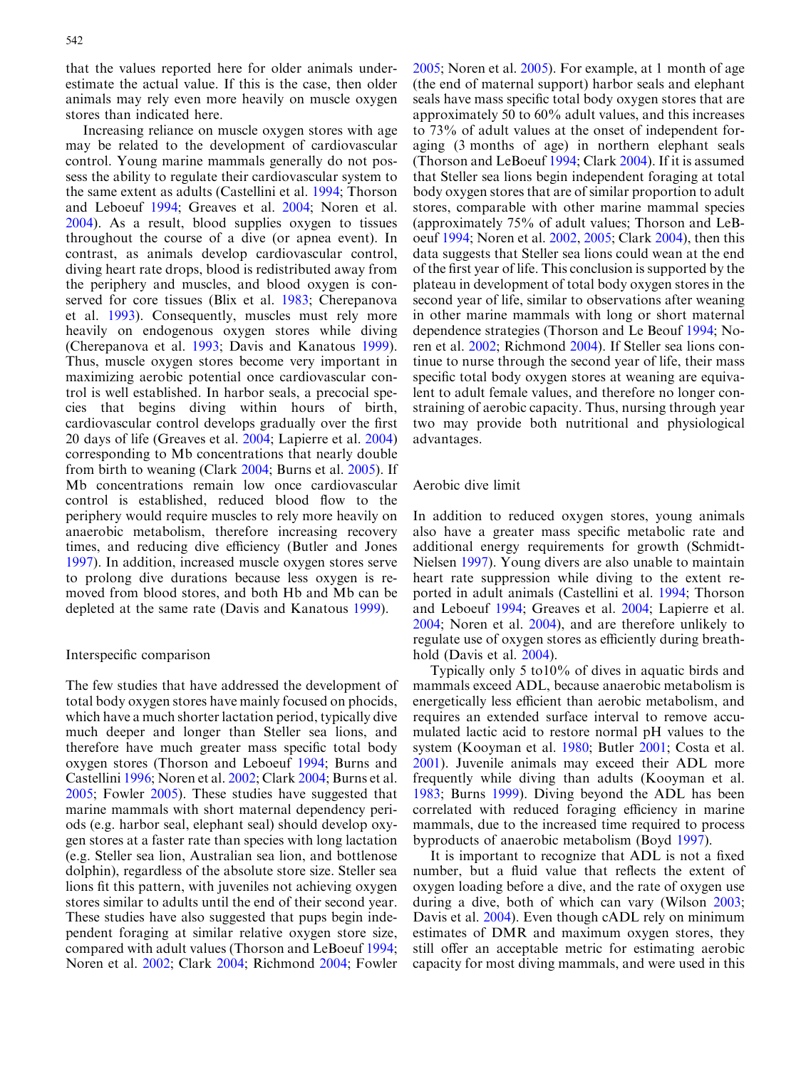that the values reported here for older animals underestimate the actual value. If this is the case, then older animals may rely even more heavily on muscle oxygen stores than indicated here.

Increasing reliance on muscle oxygen stores with age may be related to the development of cardiovascular control. Young marine mammals generally do not possess the ability to regulate their cardiovascular system to the same extent as adults (Castellini et al. [1994;](#page-8-0) Thorson and Leboeuf [1994;](#page-10-0) Greaves et al. [2004;](#page-9-0) Noren et al. [2004](#page-9-0)). As a result, blood supplies oxygen to tissues throughout the course of a dive (or apnea event). In contrast, as animals develop cardiovascular control, diving heart rate drops, blood is redistributed away from the periphery and muscles, and blood oxygen is conserved for core tissues (Blix et al. [1983;](#page-8-0) Cherepanova et al. [1993](#page-9-0)). Consequently, muscles must rely more heavily on endogenous oxygen stores while diving (Cherepanova et al. [1993](#page-9-0); Davis and Kanatous [1999\)](#page-9-0). Thus, muscle oxygen stores become very important in maximizing aerobic potential once cardiovascular control is well established. In harbor seals, a precocial species that begins diving within hours of birth, cardiovascular control develops gradually over the first 20 days of life (Greaves et al. [2004;](#page-9-0) Lapierre et al. [2004\)](#page-9-0) corresponding to Mb concentrations that nearly double from birth to weaning (Clark [2004;](#page-9-0) Burns et al. [2005\)](#page-8-0). If Mb concentrations remain low once cardiovascular control is established, reduced blood flow to the periphery would require muscles to rely more heavily on anaerobic metabolism, therefore increasing recovery times, and reducing dive efficiency (Butler and Jones [1997](#page-8-0)). In addition, increased muscle oxygen stores serve to prolong dive durations because less oxygen is removed from blood stores, and both Hb and Mb can be depleted at the same rate (Davis and Kanatous [1999\)](#page-9-0).

#### Interspecific comparison

The few studies that have addressed the development of total body oxygen stores have mainly focused on phocids, which have a much shorter lactation period, typically dive much deeper and longer than Steller sea lions, and therefore have much greater mass specific total body oxygen stores (Thorson and Leboeuf [1994;](#page-10-0) Burns and Castellini [1996](#page-8-0); Noren et al. [2002;](#page-9-0) Clark [2004](#page-9-0); Burns et al. [2005](#page-8-0); Fowler [2005\)](#page-9-0). These studies have suggested that marine mammals with short maternal dependency periods (e.g. harbor seal, elephant seal) should develop oxygen stores at a faster rate than species with long lactation (e.g. Steller sea lion, Australian sea lion, and bottlenose dolphin), regardless of the absolute store size. Steller sea lions fit this pattern, with juveniles not achieving oxygen stores similar to adults until the end of their second year. These studies have also suggested that pups begin independent foraging at similar relative oxygen store size, compared with adult values (Thorson and LeBoeuf [1994](#page-10-0); Noren et al. [2002](#page-9-0); Clark [2004](#page-9-0); Richmond [2004](#page-10-0); Fowler

[2005;](#page-9-0) Noren et al. [2005\)](#page-9-0). For example, at 1 month of age (the end of maternal support) harbor seals and elephant seals have mass specific total body oxygen stores that are approximately 50 to 60% adult values, and this increases to 73% of adult values at the onset of independent foraging (3 months of age) in northern elephant seals (Thorson and LeBoeuf [1994;](#page-10-0) Clark [2004](#page-9-0)). If it is assumed that Steller sea lions begin independent foraging at total body oxygen stores that are of similar proportion to adult stores, comparable with other marine mammal species (approximately 75% of adult values; Thorson and LeBoeuf [1994;](#page-10-0) Noren et al. [2002,](#page-9-0) [2005](#page-9-0); Clark [2004\)](#page-9-0), then this data suggests that Steller sea lions could wean at the end of the first year of life. This conclusion is supported by the plateau in development of total body oxygen stores in the second year of life, similar to observations after weaning in other marine mammals with long or short maternal dependence strategies (Thorson and Le Beouf [1994](#page-10-0); Noren et al. [2002;](#page-9-0) Richmond [2004](#page-10-0)). If Steller sea lions continue to nurse through the second year of life, their mass specific total body oxygen stores at weaning are equivalent to adult female values, and therefore no longer constraining of aerobic capacity. Thus, nursing through year two may provide both nutritional and physiological advantages.

#### Aerobic dive limit

In addition to reduced oxygen stores, young animals also have a greater mass specific metabolic rate and additional energy requirements for growth (Schmidt-Nielsen [1997\)](#page-10-0). Young divers are also unable to maintain heart rate suppression while diving to the extent reported in adult animals (Castellini et al. [1994;](#page-8-0) Thorson and Leboeuf [1994;](#page-10-0) Greaves et al. [2004;](#page-9-0) Lapierre et al. [2004;](#page-9-0) Noren et al. [2004\)](#page-9-0), and are therefore unlikely to regulate use of oxygen stores as efficiently during breathhold (Davis et al. [2004\)](#page-9-0).

Typically only 5 to10% of dives in aquatic birds and mammals exceed ADL, because anaerobic metabolism is energetically less efficient than aerobic metabolism, and requires an extended surface interval to remove accumulated lactic acid to restore normal pH values to the system (Kooyman et al. [1980;](#page-9-0) Butler [2001;](#page-8-0) Costa et al. [2001\)](#page-9-0). Juvenile animals may exceed their ADL more frequently while diving than adults (Kooyman et al. [1983;](#page-9-0) Burns [1999](#page-8-0)). Diving beyond the ADL has been correlated with reduced foraging efficiency in marine mammals, due to the increased time required to process byproducts of anaerobic metabolism (Boyd [1997](#page-8-0)).

It is important to recognize that ADL is not a fixed number, but a fluid value that reflects the extent of oxygen loading before a dive, and the rate of oxygen use during a dive, both of which can vary (Wilson [2003](#page-10-0); Davis et al. [2004](#page-9-0)). Even though cADL rely on minimum estimates of DMR and maximum oxygen stores, they still offer an acceptable metric for estimating aerobic capacity for most diving mammals, and were used in this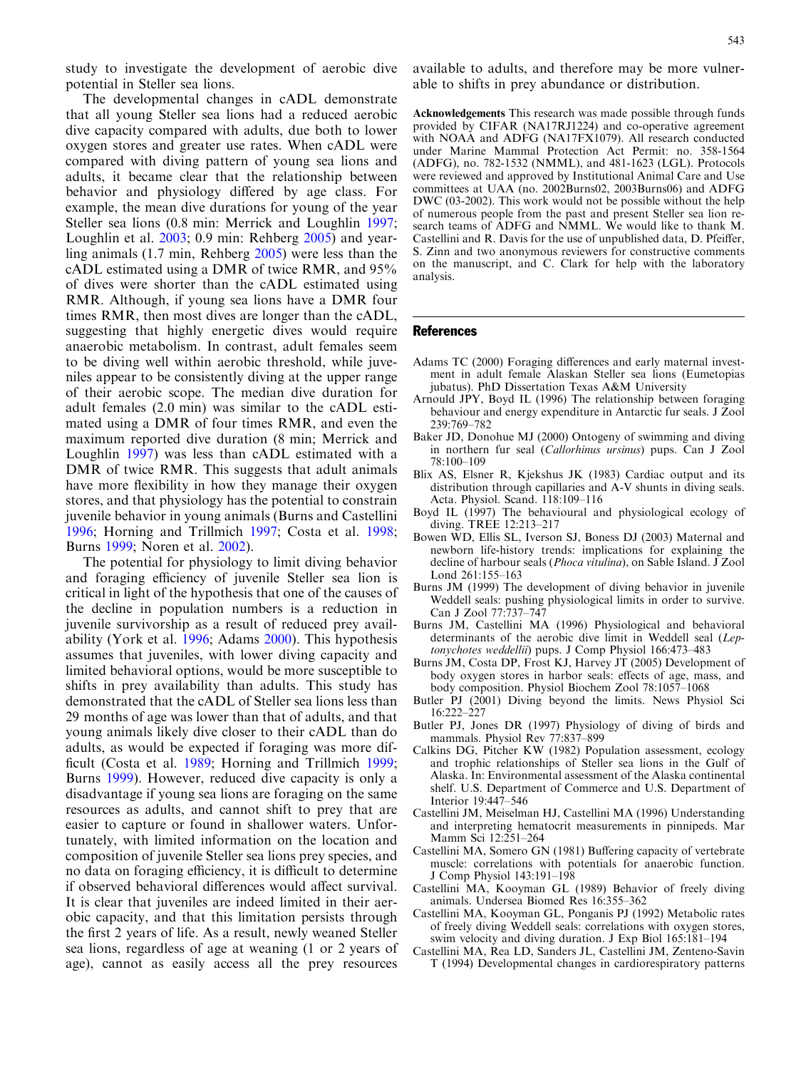<span id="page-8-0"></span>study to investigate the development of aerobic dive potential in Steller sea lions.

The developmental changes in cADL demonstrate that all young Steller sea lions had a reduced aerobic dive capacity compared with adults, due both to lower oxygen stores and greater use rates. When cADL were compared with diving pattern of young sea lions and adults, it became clear that the relationship between behavior and physiology differed by age class. For example, the mean dive durations for young of the year Steller sea lions (0.8 min: Merrick and Loughlin [1997](#page-9-0); Loughlin et al. [2003](#page-9-0); 0.9 min: Rehberg [2005](#page-10-0)) and yearling animals (1.7 min, Rehberg [2005](#page-10-0)) were less than the cADL estimated using a DMR of twice RMR, and 95% of dives were shorter than the cADL estimated using RMR. Although, if young sea lions have a DMR four times RMR, then most dives are longer than the cADL, suggesting that highly energetic dives would require anaerobic metabolism. In contrast, adult females seem to be diving well within aerobic threshold, while juveniles appear to be consistently diving at the upper range of their aerobic scope. The median dive duration for adult females (2.0 min) was similar to the cADL estimated using a DMR of four times RMR, and even the maximum reported dive duration (8 min; Merrick and Loughlin [1997\)](#page-9-0) was less than cADL estimated with a DMR of twice RMR. This suggests that adult animals have more flexibility in how they manage their oxygen stores, and that physiology has the potential to constrain juvenile behavior in young animals (Burns and Castellini 1996; Horning and Trillmich [1997;](#page-9-0) Costa et al. [1998](#page-9-0); Burns 1999; Noren et al. [2002\)](#page-9-0).

The potential for physiology to limit diving behavior and foraging efficiency of juvenile Steller sea lion is critical in light of the hypothesis that one of the causes of the decline in population numbers is a reduction in juvenile survivorship as a result of reduced prey availability (York et al. [1996;](#page-10-0) Adams 2000). This hypothesis assumes that juveniles, with lower diving capacity and limited behavioral options, would be more susceptible to shifts in prey availability than adults. This study has demonstrated that the cADL of Steller sea lions less than 29 months of age was lower than that of adults, and that young animals likely dive closer to their cADL than do adults, as would be expected if foraging was more difficult (Costa et al. [1989](#page-9-0); Horning and Trillmich [1999](#page-9-0); Burns 1999). However, reduced dive capacity is only a disadvantage if young sea lions are foraging on the same resources as adults, and cannot shift to prey that are easier to capture or found in shallower waters. Unfortunately, with limited information on the location and composition of juvenile Steller sea lions prey species, and no data on foraging efficiency, it is difficult to determine if observed behavioral differences would affect survival. It is clear that juveniles are indeed limited in their aerobic capacity, and that this limitation persists through the first 2 years of life. As a result, newly weaned Steller sea lions, regardless of age at weaning (1 or 2 years of age), cannot as easily access all the prey resources

available to adults, and therefore may be more vulnerable to shifts in prey abundance or distribution.

Acknowledgements This research was made possible through funds provided by CIFAR (NA17RJ1224) and co-operative agreement with NOAA and ADFG (NA17FX1079). All research conducted under Marine Mammal Protection Act Permit: no. 358-1564 (ADFG), no. 782-1532 (NMML), and 481-1623 (LGL). Protocols were reviewed and approved by Institutional Animal Care and Use committees at UAA (no. 2002Burns02, 2003Burns06) and ADFG DWC (03-2002). This work would not be possible without the help of numerous people from the past and present Steller sea lion research teams of ADFG and NMML. We would like to thank M. Castellini and R. Davis for the use of unpublished data, D. Pfeiffer, S. Zinn and two anonymous reviewers for constructive comments on the manuscript, and C. Clark for help with the laboratory analysis.

#### References

- Adams TC (2000) Foraging differences and early maternal investment in adult female Alaskan Steller sea lions (Eumetopias jubatus). PhD Dissertation Texas A&M University
- Arnould JPY, Boyd IL (1996) The relationship between foraging behaviour and energy expenditure in Antarctic fur seals. J Zool 239:769–782
- Baker JD, Donohue MJ (2000) Ontogeny of swimming and diving in northern fur seal (Callorhinus ursinus) pups. Can J Zool 78:100–109
- Blix AS, Elsner R, Kjekshus JK (1983) Cardiac output and its distribution through capillaries and A-V shunts in diving seals. Acta. Physiol. Scand. 118:109–116
- Boyd IL (1997) The behavioural and physiological ecology of diving. TREE 12:213–217
- Bowen WD, Ellis SL, Iverson SJ, Boness DJ (2003) Maternal and newborn life-history trends: implications for explaining the decline of harbour seals (Phoca vitulina), on Sable Island. J Zool Lond 261:155–163
- Burns JM (1999) The development of diving behavior in juvenile Weddell seals: pushing physiological limits in order to survive. Can J Zool 77:737–747
- Burns JM, Castellini MA (1996) Physiological and behavioral determinants of the aerobic dive limit in Weddell seal (Leptonychotes weddellii) pups. J Comp Physiol 166:473–483
- Burns JM, Costa DP, Frost KJ, Harvey JT (2005) Development of body oxygen stores in harbor seals: effects of age, mass, and body composition. Physiol Biochem Zool 78:1057–1068
- Butler PJ (2001) Diving beyond the limits. News Physiol Sci 16:222–227
- Butler PJ, Jones DR (1997) Physiology of diving of birds and mammals. Physiol Rev 77:837–899
- Calkins DG, Pitcher KW (1982) Population assessment, ecology and trophic relationships of Steller sea lions in the Gulf of Alaska. In: Environmental assessment of the Alaska continental shelf. U.S. Department of Commerce and U.S. Department of Interior 19:447–546
- Castellini JM, Meiselman HJ, Castellini MA (1996) Understanding and interpreting hematocrit measurements in pinnipeds. Mar Mamm Sci 12:251–264
- Castellini MA, Somero GN (1981) Buffering capacity of vertebrate muscle: correlations with potentials for anaerobic function. J Comp Physiol 143:191–198
- Castellini MA, Kooyman GL (1989) Behavior of freely diving animals. Undersea Biomed Res 16:355–362
- Castellini MA, Kooyman GL, Ponganis PJ (1992) Metabolic rates of freely diving Weddell seals: correlations with oxygen stores, swim velocity and diving duration. J Exp Biol 165:181–194
- Castellini MA, Rea LD, Sanders JL, Castellini JM, Zenteno-Savin T (1994) Developmental changes in cardiorespiratory patterns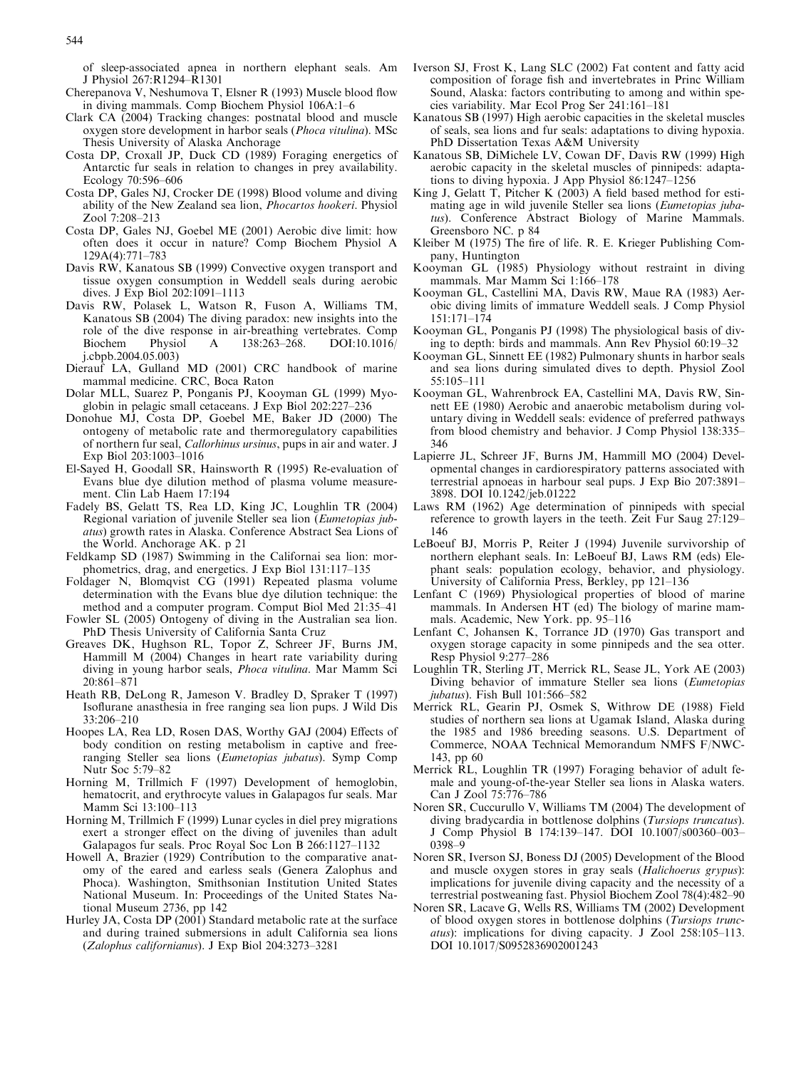- <span id="page-9-0"></span>Cherepanova V, Neshumova T, Elsner R (1993) Muscle blood flow in diving mammals. Comp Biochem Physiol 106A:1–6
- Clark CA (2004) Tracking changes: postnatal blood and muscle oxygen store development in harbor seals (Phoca vitulina). MSc Thesis University of Alaska Anchorage
- Costa DP, Croxall JP, Duck CD (1989) Foraging energetics of Antarctic fur seals in relation to changes in prey availability. Ecology 70:596–606
- Costa DP, Gales NJ, Crocker DE (1998) Blood volume and diving ability of the New Zealand sea lion, Phocartos hookeri. Physiol Zool 7:208–213
- Costa DP, Gales NJ, Goebel ME (2001) Aerobic dive limit: how often does it occur in nature? Comp Biochem Physiol A 129A(4):771–783
- Davis RW, Kanatous SB (1999) Convective oxygen transport and tissue oxygen consumption in Weddell seals during aerobic dives. J Exp Biol 202:1091–1113
- Davis RW, Polasek L, Watson R, Fuson A, Williams TM, Kanatous SB (2004) The diving paradox: new insights into the role of the dive response in air-breathing vertebrates. Comp<br>Biochem Physiol A 138:263-268. DOI:10.1016/ Biochem Physiol A 138:263–268. DOI:10.1016/ j.cbpb.2004.05.003)
- Dierauf LA, Gulland MD (2001) CRC handbook of marine mammal medicine. CRC, Boca Raton
- Dolar MLL, Suarez P, Ponganis PJ, Kooyman GL (1999) Myoglobin in pelagic small cetaceans. J Exp Biol 202:227–236
- Donohue MJ, Costa DP, Goebel ME, Baker JD (2000) The ontogeny of metabolic rate and thermoregulatory capabilities of northern fur seal, Callorhinus ursinus, pups in air and water. J Exp Biol 203:1003–1016
- El-Sayed H, Goodall SR, Hainsworth R (1995) Re-evaluation of Evans blue dye dilution method of plasma volume measurement. Clin Lab Haem 17:194
- Fadely BS, Gelatt TS, Rea LD, King JC, Loughlin TR (2004) Regional variation of juvenile Steller sea lion (Eumetopias jubatus) growth rates in Alaska. Conference Abstract Sea Lions of the World. Anchorage AK. p 21
- Feldkamp SD (1987) Swimming in the Californai sea lion: morphometrics, drag, and energetics. J Exp Biol 131:117–135
- Foldager N, Blomqvist CG (1991) Repeated plasma volume determination with the Evans blue dye dilution technique: the method and a computer program. Comput Biol Med 21:35–41
- Fowler SL (2005) Ontogeny of diving in the Australian sea lion. PhD Thesis University of California Santa Cruz
- Greaves DK, Hughson RL, Topor Z, Schreer JF, Burns JM, Hammill M (2004) Changes in heart rate variability during diving in young harbor seals, Phoca vitulina. Mar Mamm Sci 20:861–871
- Heath RB, DeLong R, Jameson V. Bradley D, Spraker T (1997) Isoflurane anasthesia in free ranging sea lion pups. J Wild Dis 33:206–210
- Hoopes LA, Rea LD, Rosen DAS, Worthy GAJ (2004) Effects of body condition on resting metabolism in captive and freeranging Steller sea lions (Eumetopias jubatus). Symp Comp Nutr Soc 5:79–82
- Horning M, Trillmich F (1997) Development of hemoglobin, hematocrit, and erythrocyte values in Galapagos fur seals. Mar Mamm Sci 13:100–113
- Horning M, Trillmich F (1999) Lunar cycles in diel prey migrations exert a stronger effect on the diving of juveniles than adult Galapagos fur seals. Proc Royal Soc Lon B 266:1127–1132
- Howell A, Brazier (1929) Contribution to the comparative anatomy of the eared and earless seals (Genera Zalophus and Phoca). Washington, Smithsonian Institution United States National Museum. In: Proceedings of the United States National Museum 2736, pp 142
- Hurley JA, Costa DP (2001) Standard metabolic rate at the surface and during trained submersions in adult California sea lions (Zalophus californianus). J Exp Biol 204:3273–3281
- Iverson SJ, Frost K, Lang SLC (2002) Fat content and fatty acid composition of forage fish and invertebrates in Princ William Sound, Alaska: factors contributing to among and within species variability. Mar Ecol Prog Ser 241:161–181
- Kanatous SB (1997) High aerobic capacities in the skeletal muscles of seals, sea lions and fur seals: adaptations to diving hypoxia. PhD Dissertation Texas A&M University
- Kanatous SB, DiMichele LV, Cowan DF, Davis RW (1999) High aerobic capacity in the skeletal muscles of pinnipeds: adaptations to diving hypoxia. J App Physiol 86:1247–1256
- King J, Gelatt T, Pitcher K (2003) A field based method for estimating age in wild juvenile Steller sea lions (Eumetopias jubatus). Conference Abstract Biology of Marine Mammals. Greensboro NC. p 84
- Kleiber M (1975) The fire of life. R. E. Krieger Publishing Company, Huntington
- Kooyman GL (1985) Physiology without restraint in diving mammals. Mar Mamm Sci 1:166–178
- Kooyman GL, Castellini MA, Davis RW, Maue RA (1983) Aerobic diving limits of immature Weddell seals. J Comp Physiol 151:171–174
- Kooyman GL, Ponganis PJ (1998) The physiological basis of diving to depth: birds and mammals. Ann Rev Physiol 60:19–32
- Kooyman GL, Sinnett EE (1982) Pulmonary shunts in harbor seals and sea lions during simulated dives to depth. Physiol Zool 55:105–111
- Kooyman GL, Wahrenbrock EA, Castellini MA, Davis RW, Sinnett EE (1980) Aerobic and anaerobic metabolism during voluntary diving in Weddell seals: evidence of preferred pathways from blood chemistry and behavior. J Comp Physiol 138:335– 346
- Lapierre JL, Schreer JF, Burns JM, Hammill MO (2004) Developmental changes in cardiorespiratory patterns associated with terrestrial apnoeas in harbour seal pups. J Exp Bio 207:3891– 3898. DOI 10.1242/jeb.01222
- Laws RM (1962) Age determination of pinnipeds with special reference to growth layers in the teeth. Zeit Fur Saug 27:129– 146
- LeBoeuf BJ, Morris P, Reiter J (1994) Juvenile survivorship of northern elephant seals. In: LeBoeuf BJ, Laws RM (eds) Elephant seals: population ecology, behavior, and physiology. University of California Press, Berkley, pp 121–136
- Lenfant C (1969) Physiological properties of blood of marine mammals. In Andersen HT (ed) The biology of marine mammals. Academic, New York. pp. 95–116
- Lenfant C, Johansen K, Torrance JD (1970) Gas transport and oxygen storage capacity in some pinnipeds and the sea otter. Resp Physiol 9:277–286
- Loughlin TR, Sterling JT, Merrick RL, Sease JL, York AE (2003) Diving behavior of immature Steller sea lions (Eumetopias jubatus). Fish Bull 101:566-582
- Merrick RL, Gearin PJ, Osmek S, Withrow DE (1988) Field studies of northern sea lions at Ugamak Island, Alaska during the 1985 and 1986 breeding seasons. U.S. Department of Commerce, NOAA Technical Memorandum NMFS F/NWC-143, pp 60
- Merrick RL, Loughlin TR (1997) Foraging behavior of adult female and young-of-the-year Steller sea lions in Alaska waters. Can J Zool 75:776–786
- Noren SR, Cuccurullo V, Williams TM (2004) The development of diving bradycardia in bottlenose dolphins (Tursiops truncatus). J Comp Physiol B 174:139–147. DOI 10.1007/s00360–003– 0398–9
- Noren SR, Iverson SJ, Boness DJ (2005) Development of the Blood and muscle oxygen stores in gray seals (Halichoerus grypus): implications for juvenile diving capacity and the necessity of a terrestrial postweaning fast. Physiol Biochem Zool 78(4):482–90
- Noren SR, Lacave G, Wells RS, Williams TM (2002) Development of blood oxygen stores in bottlenose dolphins (Tursiops truncatus): implications for diving capacity. J Zool 258:105–113. DOI 10.1017/S0952836902001243